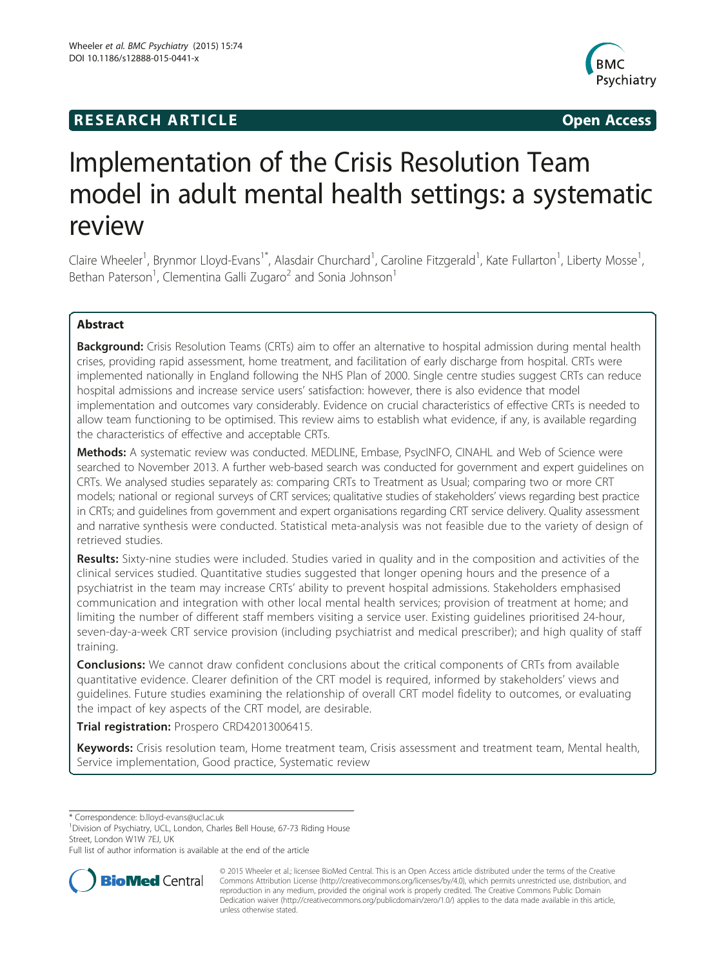# **RESEARCH ARTICLE Example 2014 The SEAR CH ACCESS**



# Implementation of the Crisis Resolution Team model in adult mental health settings: a systematic review

Claire Wheeler<sup>1</sup>, Brynmor Lloyd-Evans<sup>1\*</sup>, Alasdair Churchard<sup>1</sup>, Caroline Fitzgerald<sup>1</sup>, Kate Fullarton<sup>1</sup>, Liberty Mosse<sup>1</sup> , Bethan Paterson<sup>1</sup>, Clementina Galli Zugaro<sup>2</sup> and Sonia Johnson<sup>1</sup>

# Abstract

Background: Crisis Resolution Teams (CRTs) aim to offer an alternative to hospital admission during mental health crises, providing rapid assessment, home treatment, and facilitation of early discharge from hospital. CRTs were implemented nationally in England following the NHS Plan of 2000. Single centre studies suggest CRTs can reduce hospital admissions and increase service users' satisfaction: however, there is also evidence that model implementation and outcomes vary considerably. Evidence on crucial characteristics of effective CRTs is needed to allow team functioning to be optimised. This review aims to establish what evidence, if any, is available regarding the characteristics of effective and acceptable CRTs.

Methods: A systematic review was conducted. MEDLINE, Embase, PsycINFO, CINAHL and Web of Science were searched to November 2013. A further web-based search was conducted for government and expert guidelines on CRTs. We analysed studies separately as: comparing CRTs to Treatment as Usual; comparing two or more CRT models; national or regional surveys of CRT services; qualitative studies of stakeholders' views regarding best practice in CRTs; and guidelines from government and expert organisations regarding CRT service delivery. Quality assessment and narrative synthesis were conducted. Statistical meta-analysis was not feasible due to the variety of design of retrieved studies.

Results: Sixty-nine studies were included. Studies varied in quality and in the composition and activities of the clinical services studied. Quantitative studies suggested that longer opening hours and the presence of a psychiatrist in the team may increase CRTs' ability to prevent hospital admissions. Stakeholders emphasised communication and integration with other local mental health services; provision of treatment at home; and limiting the number of different staff members visiting a service user. Existing guidelines prioritised 24-hour, seven-day-a-week CRT service provision (including psychiatrist and medical prescriber); and high quality of staff training.

**Conclusions:** We cannot draw confident conclusions about the critical components of CRTs from available quantitative evidence. Clearer definition of the CRT model is required, informed by stakeholders' views and guidelines. Future studies examining the relationship of overall CRT model fidelity to outcomes, or evaluating the impact of key aspects of the CRT model, are desirable.

Trial registration: Prospero [CRD42013006415.](http://www.crd.york.ac.uk/prospero/display_record.asp?ID=CRD42013006415#.UqnXyuLDUko)

Keywords: Crisis resolution team, Home treatment team, Crisis assessment and treatment team, Mental health, Service implementation, Good practice, Systematic review

\* Correspondence: [b.lloyd-evans@ucl.ac.uk](mailto:b.lloyd-evans@ucl.ac.uk) <sup>1</sup>

<sup>1</sup> Division of Psychiatry, UCL, London, Charles Bell House, 67-73 Riding House Street, London W1W 7EJ, UK

Full list of author information is available at the end of the article



<sup>© 2015</sup> Wheeler et al.; licensee BioMed Central. This is an Open Access article distributed under the terms of the Creative Commons Attribution License [\(http://creativecommons.org/licenses/by/4.0\)](http://creativecommons.org/licenses/by/4.0), which permits unrestricted use, distribution, and reproduction in any medium, provided the original work is properly credited. The Creative Commons Public Domain Dedication waiver [\(http://creativecommons.org/publicdomain/zero/1.0/](http://creativecommons.org/publicdomain/zero/1.0/)) applies to the data made available in this article, unless otherwise stated.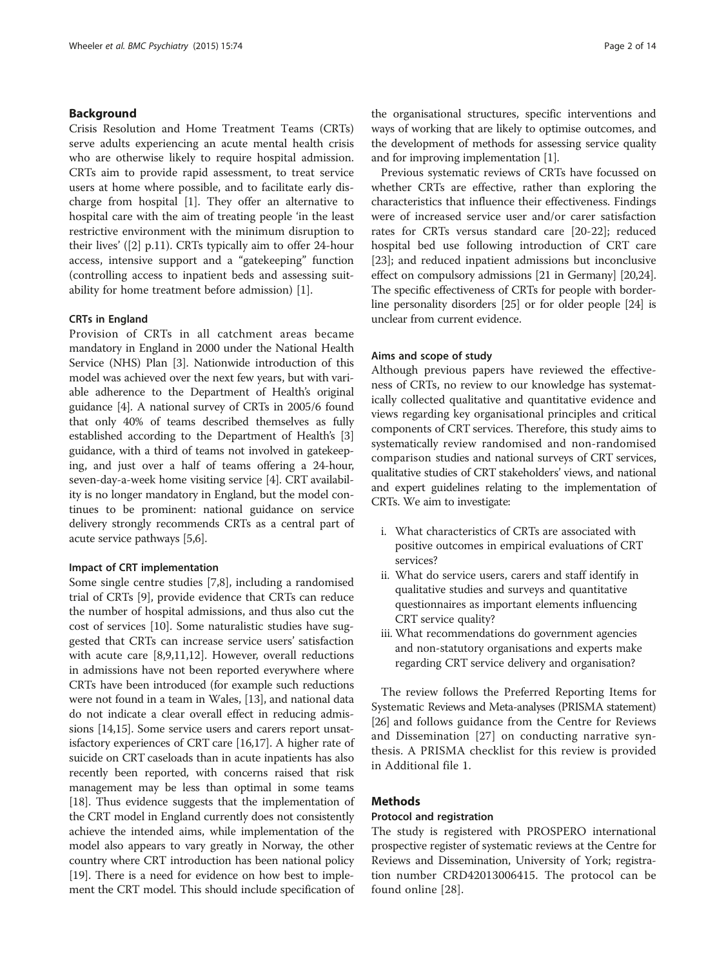# Background

Crisis Resolution and Home Treatment Teams (CRTs) serve adults experiencing an acute mental health crisis who are otherwise likely to require hospital admission. CRTs aim to provide rapid assessment, to treat service users at home where possible, and to facilitate early discharge from hospital [\[1](#page-11-0)]. They offer an alternative to hospital care with the aim of treating people 'in the least restrictive environment with the minimum disruption to their lives' ([[2\]](#page-11-0) p.11). CRTs typically aim to offer 24-hour access, intensive support and a "gatekeeping" function (controlling access to inpatient beds and assessing suitability for home treatment before admission) [[1](#page-11-0)].

#### CRTs in England

Provision of CRTs in all catchment areas became mandatory in England in 2000 under the National Health Service (NHS) Plan [[3\]](#page-11-0). Nationwide introduction of this model was achieved over the next few years, but with variable adherence to the Department of Health's original guidance [\[4\]](#page-11-0). A national survey of CRTs in 2005/6 found that only 40% of teams described themselves as fully established according to the Department of Health's [[3](#page-11-0)] guidance, with a third of teams not involved in gatekeeping, and just over a half of teams offering a 24-hour, seven-day-a-week home visiting service [\[4](#page-11-0)]. CRT availability is no longer mandatory in England, but the model continues to be prominent: national guidance on service delivery strongly recommends CRTs as a central part of acute service pathways [\[5,6\]](#page-11-0).

## Impact of CRT implementation

Some single centre studies [[7,8\]](#page-11-0), including a randomised trial of CRTs [[9\]](#page-11-0), provide evidence that CRTs can reduce the number of hospital admissions, and thus also cut the cost of services [\[10](#page-11-0)]. Some naturalistic studies have suggested that CRTs can increase service users' satisfaction with acute care [[8,9,11,12\]](#page-11-0). However, overall reductions in admissions have not been reported everywhere where CRTs have been introduced (for example such reductions were not found in a team in Wales, [[13](#page-11-0)], and national data do not indicate a clear overall effect in reducing admissions [\[14,15](#page-11-0)]. Some service users and carers report unsatisfactory experiences of CRT care [[16,17](#page-11-0)]. A higher rate of suicide on CRT caseloads than in acute inpatients has also recently been reported, with concerns raised that risk management may be less than optimal in some teams [[18](#page-11-0)]. Thus evidence suggests that the implementation of the CRT model in England currently does not consistently achieve the intended aims, while implementation of the model also appears to vary greatly in Norway, the other country where CRT introduction has been national policy [[19](#page-11-0)]. There is a need for evidence on how best to implement the CRT model. This should include specification of

the organisational structures, specific interventions and ways of working that are likely to optimise outcomes, and the development of methods for assessing service quality and for improving implementation [\[1](#page-11-0)].

Previous systematic reviews of CRTs have focussed on whether CRTs are effective, rather than exploring the characteristics that influence their effectiveness. Findings were of increased service user and/or carer satisfaction rates for CRTs versus standard care [[20-22](#page-11-0)]; reduced hospital bed use following introduction of CRT care [[23\]](#page-11-0); and reduced inpatient admissions but inconclusive effect on compulsory admissions [21 in Germany] [\[20,](#page-11-0)[24](#page-12-0)]. The specific effectiveness of CRTs for people with borderline personality disorders [\[25\]](#page-12-0) or for older people [[24](#page-12-0)] is unclear from current evidence.

#### Aims and scope of study

Although previous papers have reviewed the effectiveness of CRTs, no review to our knowledge has systematically collected qualitative and quantitative evidence and views regarding key organisational principles and critical components of CRT services. Therefore, this study aims to systematically review randomised and non-randomised comparison studies and national surveys of CRT services, qualitative studies of CRT stakeholders' views, and national and expert guidelines relating to the implementation of CRTs. We aim to investigate:

- i. What characteristics of CRTs are associated with positive outcomes in empirical evaluations of CRT services?
- ii. What do service users, carers and staff identify in qualitative studies and surveys and quantitative questionnaires as important elements influencing CRT service quality?
- iii. What recommendations do government agencies and non-statutory organisations and experts make regarding CRT service delivery and organisation?

The review follows the Preferred Reporting Items for Systematic Reviews and Meta-analyses (PRISMA statement) [[26\]](#page-12-0) and follows guidance from the Centre for Reviews and Dissemination [\[27](#page-12-0)] on conducting narrative synthesis. A PRISMA checklist for this review is provided in Additional file [1](#page-11-0).

# Methods

# Protocol and registration

The study is registered with PROSPERO international prospective register of systematic reviews at the Centre for Reviews and Dissemination, University of York; registration number CRD42013006415. The protocol can be found online [[28](#page-12-0)].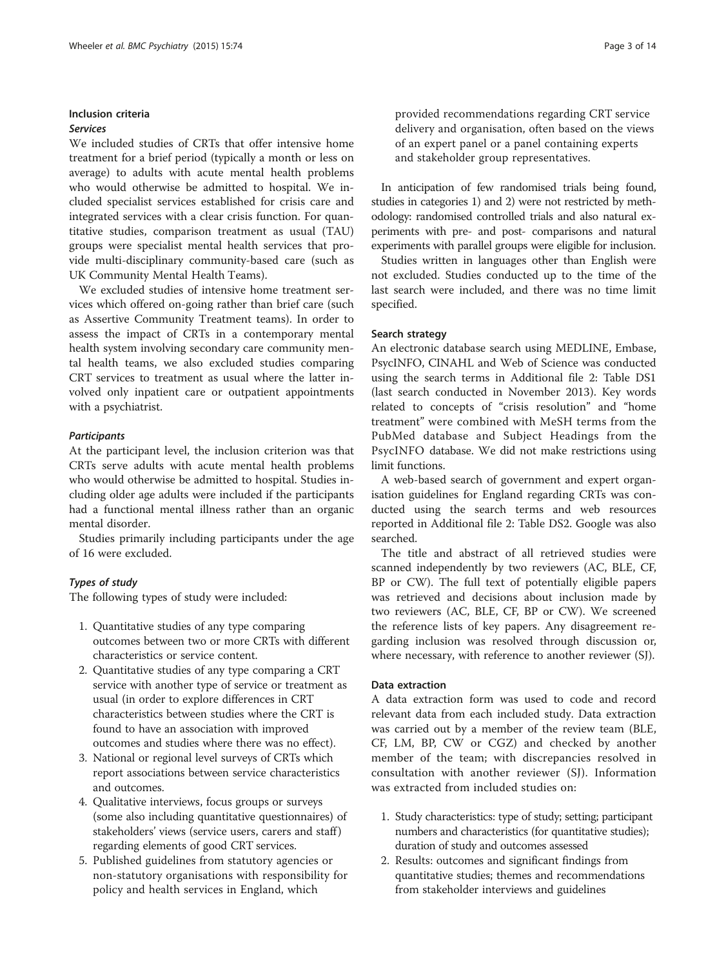# Inclusion criteria

# Services

We included studies of CRTs that offer intensive home treatment for a brief period (typically a month or less on average) to adults with acute mental health problems who would otherwise be admitted to hospital. We included specialist services established for crisis care and integrated services with a clear crisis function. For quantitative studies, comparison treatment as usual (TAU) groups were specialist mental health services that provide multi-disciplinary community-based care (such as UK Community Mental Health Teams).

We excluded studies of intensive home treatment services which offered on-going rather than brief care (such as Assertive Community Treatment teams). In order to assess the impact of CRTs in a contemporary mental health system involving secondary care community mental health teams, we also excluded studies comparing CRT services to treatment as usual where the latter involved only inpatient care or outpatient appointments with a psychiatrist.

# **Participants**

At the participant level, the inclusion criterion was that CRTs serve adults with acute mental health problems who would otherwise be admitted to hospital. Studies including older age adults were included if the participants had a functional mental illness rather than an organic mental disorder.

Studies primarily including participants under the age of 16 were excluded.

# Types of study

The following types of study were included:

- 1. Quantitative studies of any type comparing outcomes between two or more CRTs with different characteristics or service content.
- 2. Quantitative studies of any type comparing a CRT service with another type of service or treatment as usual (in order to explore differences in CRT characteristics between studies where the CRT is found to have an association with improved outcomes and studies where there was no effect).
- 3. National or regional level surveys of CRTs which report associations between service characteristics and outcomes.
- 4. Qualitative interviews, focus groups or surveys (some also including quantitative questionnaires) of stakeholders' views (service users, carers and staff ) regarding elements of good CRT services.
- 5. Published guidelines from statutory agencies or non-statutory organisations with responsibility for policy and health services in England, which

provided recommendations regarding CRT service delivery and organisation, often based on the views of an expert panel or a panel containing experts and stakeholder group representatives.

In anticipation of few randomised trials being found, studies in categories 1) and 2) were not restricted by methodology: randomised controlled trials and also natural experiments with pre- and post- comparisons and natural experiments with parallel groups were eligible for inclusion.

Studies written in languages other than English were not excluded. Studies conducted up to the time of the last search were included, and there was no time limit specified.

# Search strategy

An electronic database search using MEDLINE, Embase, PsycINFO, CINAHL and Web of Science was conducted using the search terms in Additional file [2](#page-11-0): Table DS1 (last search conducted in November 2013). Key words related to concepts of "crisis resolution" and "home treatment" were combined with MeSH terms from the PubMed database and Subject Headings from the PsycINFO database. We did not make restrictions using limit functions.

A web-based search of government and expert organisation guidelines for England regarding CRTs was conducted using the search terms and web resources reported in Additional file [2](#page-11-0): Table DS2. Google was also searched.

The title and abstract of all retrieved studies were scanned independently by two reviewers (AC, BLE, CF, BP or CW). The full text of potentially eligible papers was retrieved and decisions about inclusion made by two reviewers (AC, BLE, CF, BP or CW). We screened the reference lists of key papers. Any disagreement regarding inclusion was resolved through discussion or, where necessary, with reference to another reviewer (SJ).

# Data extraction

A data extraction form was used to code and record relevant data from each included study. Data extraction was carried out by a member of the review team (BLE, CF, LM, BP, CW or CGZ) and checked by another member of the team; with discrepancies resolved in consultation with another reviewer (SJ). Information was extracted from included studies on:

- 1. Study characteristics: type of study; setting; participant numbers and characteristics (for quantitative studies); duration of study and outcomes assessed
- 2. Results: outcomes and significant findings from quantitative studies; themes and recommendations from stakeholder interviews and guidelines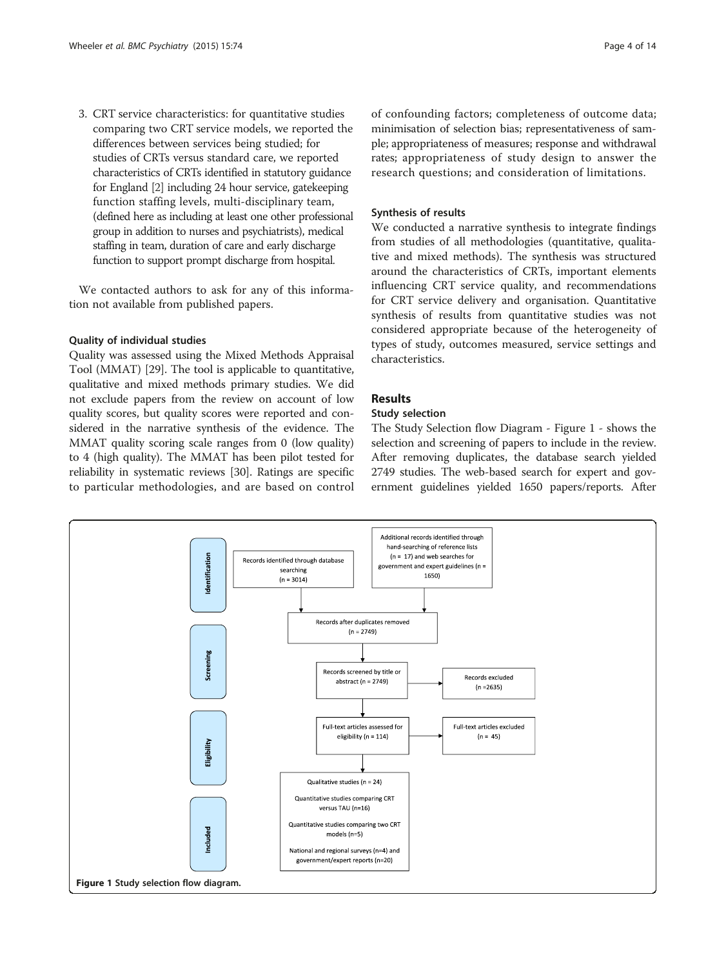3. CRT service characteristics: for quantitative studies comparing two CRT service models, we reported the differences between services being studied; for studies of CRTs versus standard care, we reported characteristics of CRTs identified in statutory guidance for England [\[2\]](#page-11-0) including 24 hour service, gatekeeping function staffing levels, multi-disciplinary team, (defined here as including at least one other professional group in addition to nurses and psychiatrists), medical staffing in team, duration of care and early discharge function to support prompt discharge from hospital.

We contacted authors to ask for any of this information not available from published papers.

#### Quality of individual studies

Quality was assessed using the Mixed Methods Appraisal Tool (MMAT) [\[29\]](#page-12-0). The tool is applicable to quantitative, qualitative and mixed methods primary studies. We did not exclude papers from the review on account of low quality scores, but quality scores were reported and considered in the narrative synthesis of the evidence. The MMAT quality scoring scale ranges from 0 (low quality) to 4 (high quality). The MMAT has been pilot tested for reliability in systematic reviews [\[30\]](#page-12-0). Ratings are specific to particular methodologies, and are based on control of confounding factors; completeness of outcome data; minimisation of selection bias; representativeness of sample; appropriateness of measures; response and withdrawal rates; appropriateness of study design to answer the research questions; and consideration of limitations.

# Synthesis of results

We conducted a narrative synthesis to integrate findings from studies of all methodologies (quantitative, qualitative and mixed methods). The synthesis was structured around the characteristics of CRTs, important elements influencing CRT service quality, and recommendations for CRT service delivery and organisation. Quantitative synthesis of results from quantitative studies was not considered appropriate because of the heterogeneity of types of study, outcomes measured, service settings and characteristics.

# Results

# Study selection

The Study Selection flow Diagram - Figure 1 - shows the selection and screening of papers to include in the review. After removing duplicates, the database search yielded 2749 studies. The web-based search for expert and government guidelines yielded 1650 papers/reports. After

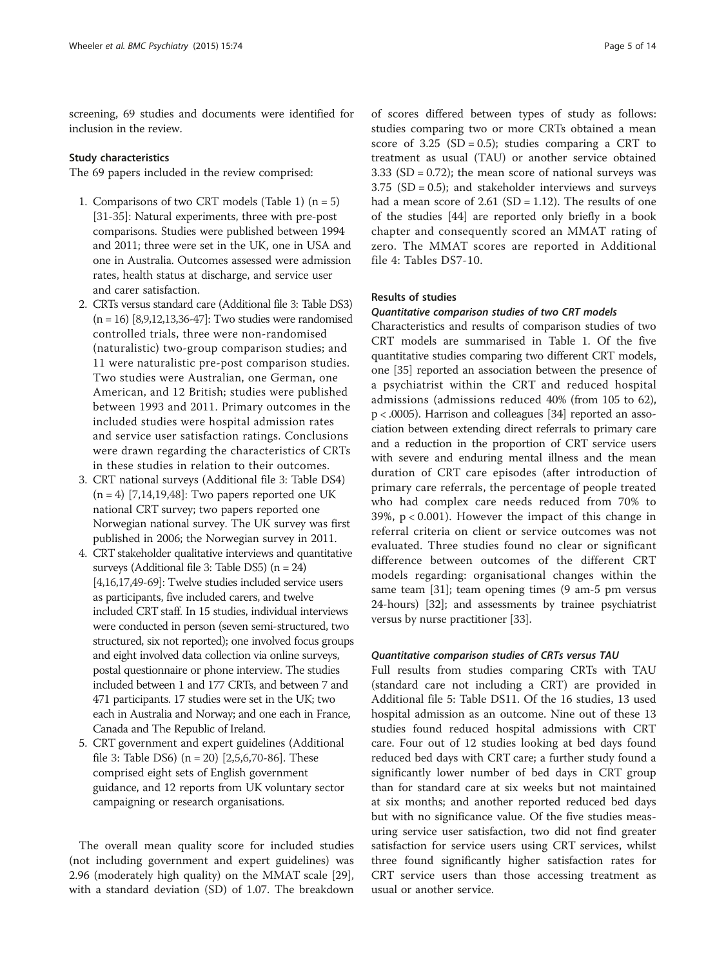screening, 69 studies and documents were identified for inclusion in the review.

## Study characteristics

The 69 papers included in the review comprised:

- 1. Comparisons of two CRT models (Table [1\)](#page-5-0)  $(n = 5)$ [\[31](#page-12-0)-[35](#page-12-0)]: Natural experiments, three with pre-post comparisons. Studies were published between 1994 and 2011; three were set in the UK, one in USA and one in Australia. Outcomes assessed were admission rates, health status at discharge, and service user and carer satisfaction.
- 2. CRTs versus standard care (Additional file [3:](#page-11-0) Table DS3) (n = 16) [\[8,9,12,13](#page-11-0)[,36](#page-12-0)-[47\]](#page-12-0): Two studies were randomised controlled trials, three were non-randomised (naturalistic) two-group comparison studies; and 11 were naturalistic pre-post comparison studies. Two studies were Australian, one German, one American, and 12 British; studies were published between 1993 and 2011. Primary outcomes in the included studies were hospital admission rates and service user satisfaction ratings. Conclusions were drawn regarding the characteristics of CRTs in these studies in relation to their outcomes.
- 3. CRT national surveys (Additional file [3:](#page-11-0) Table DS4) (n = 4) [[7,14,19,](#page-11-0)[48\]](#page-12-0): Two papers reported one UK national CRT survey; two papers reported one Norwegian national survey. The UK survey was first published in 2006; the Norwegian survey in 2011.
- 4. CRT stakeholder qualitative interviews and quantitative surveys (Additional file [3:](#page-11-0) Table DS5)  $(n = 24)$ [\[4,16,17](#page-11-0)[,49-69](#page-12-0)]: Twelve studies included service users as participants, five included carers, and twelve included CRT staff. In 15 studies, individual interviews were conducted in person (seven semi-structured, two structured, six not reported); one involved focus groups and eight involved data collection via online surveys, postal questionnaire or phone interview. The studies included between 1 and 177 CRTs, and between 7 and 471 participants. 17 studies were set in the UK; two each in Australia and Norway; and one each in France, Canada and The Republic of Ireland.
- 5. CRT government and expert guidelines (Additional file [3](#page-11-0): Table DS6)  $(n = 20)$  [\[2,5,6](#page-11-0)[,70](#page-12-0)-[86](#page-13-0)]. These comprised eight sets of English government guidance, and 12 reports from UK voluntary sector campaigning or research organisations.

The overall mean quality score for included studies (not including government and expert guidelines) was 2.96 (moderately high quality) on the MMAT scale [\[29](#page-12-0)], with a standard deviation (SD) of 1.07. The breakdown

of scores differed between types of study as follows: studies comparing two or more CRTs obtained a mean score of  $3.25$  (SD = 0.5); studies comparing a CRT to treatment as usual (TAU) or another service obtained 3.33 (SD =  $0.72$ ); the mean score of national surveys was 3.75 ( $SD = 0.5$ ); and stakeholder interviews and surveys had a mean score of  $2.61$  (SD = 1.12). The results of one of the studies [[44](#page-12-0)] are reported only briefly in a book chapter and consequently scored an MMAT rating of zero. The MMAT scores are reported in Additional file [4](#page-11-0): Tables DS7-10.

#### Results of studies

#### Quantitative comparison studies of two CRT models

Characteristics and results of comparison studies of two CRT models are summarised in Table [1](#page-5-0). Of the five quantitative studies comparing two different CRT models, one [[35\]](#page-12-0) reported an association between the presence of a psychiatrist within the CRT and reduced hospital admissions (admissions reduced 40% (from 105 to 62), p < .0005). Harrison and colleagues [\[34\]](#page-12-0) reported an association between extending direct referrals to primary care and a reduction in the proportion of CRT service users with severe and enduring mental illness and the mean duration of CRT care episodes (after introduction of primary care referrals, the percentage of people treated who had complex care needs reduced from 70% to 39%, p < 0.001). However the impact of this change in referral criteria on client or service outcomes was not evaluated. Three studies found no clear or significant difference between outcomes of the different CRT models regarding: organisational changes within the same team [[31](#page-12-0)]; team opening times (9 am-5 pm versus 24-hours) [\[32\]](#page-12-0); and assessments by trainee psychiatrist versus by nurse practitioner [\[33](#page-12-0)].

#### Quantitative comparison studies of CRTs versus TAU

Full results from studies comparing CRTs with TAU (standard care not including a CRT) are provided in Additional file [5:](#page-11-0) Table DS11. Of the 16 studies, 13 used hospital admission as an outcome. Nine out of these 13 studies found reduced hospital admissions with CRT care. Four out of 12 studies looking at bed days found reduced bed days with CRT care; a further study found a significantly lower number of bed days in CRT group than for standard care at six weeks but not maintained at six months; and another reported reduced bed days but with no significance value. Of the five studies measuring service user satisfaction, two did not find greater satisfaction for service users using CRT services, whilst three found significantly higher satisfaction rates for CRT service users than those accessing treatment as usual or another service.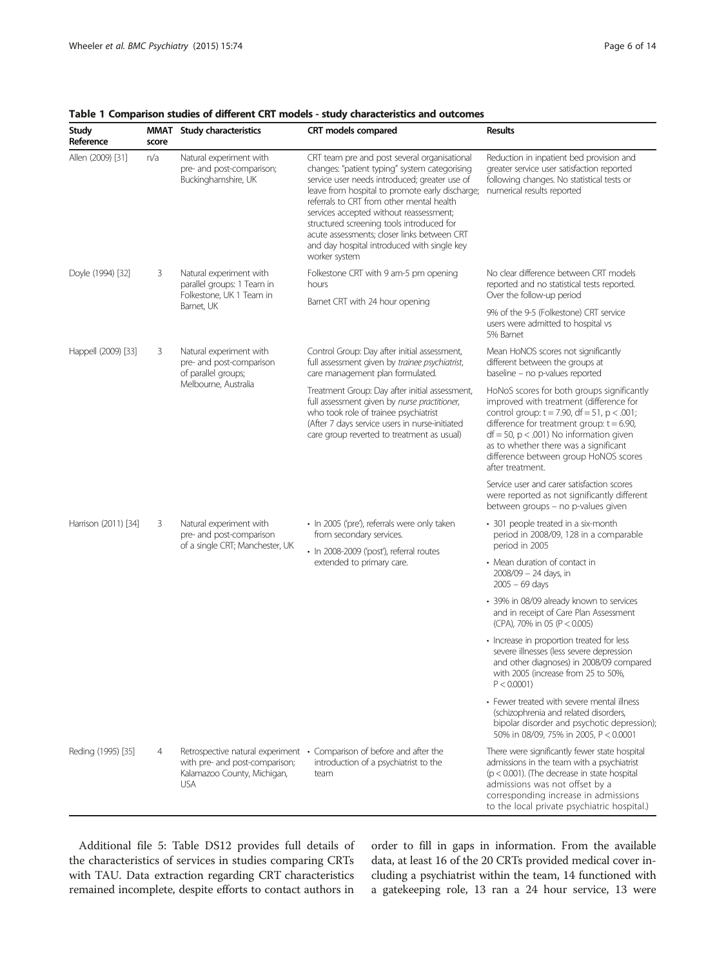| Study<br>Reference   | MMAT<br>score | <b>Study characteristics</b>                                                                                    | <b>CRT</b> models compared                                                                                                                                                                                                                                                                                                                                                                                                                            | <b>Results</b>                                                                                                                                                                                                                                                                                                                                 |  |
|----------------------|---------------|-----------------------------------------------------------------------------------------------------------------|-------------------------------------------------------------------------------------------------------------------------------------------------------------------------------------------------------------------------------------------------------------------------------------------------------------------------------------------------------------------------------------------------------------------------------------------------------|------------------------------------------------------------------------------------------------------------------------------------------------------------------------------------------------------------------------------------------------------------------------------------------------------------------------------------------------|--|
| Allen (2009) [31]    | n/a           | Natural experiment with<br>pre- and post-comparison;<br>Buckinghamshire, UK                                     | CRT team pre and post several organisational<br>changes: "patient typing" system categorising<br>service user needs introduced; greater use of<br>leave from hospital to promote early discharge;<br>referrals to CRT from other mental health<br>services accepted without reassessment;<br>structured screening tools introduced for<br>acute assessments; closer links between CRT<br>and day hospital introduced with single key<br>worker system | Reduction in inpatient bed provision and<br>greater service user satisfaction reported<br>following changes. No statistical tests or<br>numerical results reported                                                                                                                                                                             |  |
| Doyle (1994) [32]    | 3             | Natural experiment with<br>parallel groups: 1 Team in<br>Folkestone, UK 1 Team in<br>Barnet, UK                 | Folkestone CRT with 9 am-5 pm opening<br>hours<br>Barnet CRT with 24 hour opening                                                                                                                                                                                                                                                                                                                                                                     | No clear difference between CRT models<br>reported and no statistical tests reported.<br>Over the follow-up period                                                                                                                                                                                                                             |  |
|                      |               |                                                                                                                 |                                                                                                                                                                                                                                                                                                                                                                                                                                                       | 9% of the 9-5 (Folkestone) CRT service<br>users were admitted to hospital vs<br>5% Barnet                                                                                                                                                                                                                                                      |  |
| Happell (2009) [33]  | 3             | Natural experiment with<br>pre- and post-comparison<br>of parallel groups;<br>Melbourne, Australia              | Control Group: Day after initial assessment,<br>full assessment given by trainee psychiatrist,<br>care management plan formulated.                                                                                                                                                                                                                                                                                                                    | Mean HoNOS scores not significantly<br>different between the groups at<br>baseline - no p-values reported                                                                                                                                                                                                                                      |  |
|                      |               |                                                                                                                 | Treatment Group: Day after initial assessment,<br>full assessment given by nurse practitioner,<br>who took role of trainee psychiatrist<br>(After 7 days service users in nurse-initiated<br>care group reverted to treatment as usual)                                                                                                                                                                                                               | HoNoS scores for both groups significantly<br>improved with treatment (difference for<br>control group: $t = 7.90$ , df = 51, p < .001;<br>difference for treatment group: $t = 6.90$ ,<br>$df = 50$ , $p < .001$ ) No information given<br>as to whether there was a significant<br>difference between group HoNOS scores<br>after treatment. |  |
|                      |               |                                                                                                                 |                                                                                                                                                                                                                                                                                                                                                                                                                                                       | Service user and carer satisfaction scores<br>were reported as not significantly different<br>between groups - no p-values given                                                                                                                                                                                                               |  |
| Harrison (2011) [34] | 3             | Natural experiment with<br>pre- and post-comparison<br>of a single CRT; Manchester, UK                          | · In 2005 ('pre'), referrals were only taken<br>from secondary services.<br>• In 2008-2009 ('post'), referral routes                                                                                                                                                                                                                                                                                                                                  | • 301 people treated in a six-month<br>period in 2008/09, 128 in a comparable<br>period in 2005                                                                                                                                                                                                                                                |  |
|                      |               |                                                                                                                 | extended to primary care.                                                                                                                                                                                                                                                                                                                                                                                                                             | • Mean duration of contact in<br>2008/09 - 24 days, in<br>$2005 - 69$ days                                                                                                                                                                                                                                                                     |  |
|                      |               |                                                                                                                 |                                                                                                                                                                                                                                                                                                                                                                                                                                                       | • 39% in 08/09 already known to services<br>and in receipt of Care Plan Assessment<br>(CPA), 70% in 05 (P < 0.005)                                                                                                                                                                                                                             |  |
|                      |               |                                                                                                                 |                                                                                                                                                                                                                                                                                                                                                                                                                                                       | • Increase in proportion treated for less<br>severe illnesses (less severe depression<br>and other diagnoses) in 2008/09 compared<br>with 2005 (increase from 25 to 50%,<br>$P < 0.0001$ )                                                                                                                                                     |  |
|                      |               |                                                                                                                 |                                                                                                                                                                                                                                                                                                                                                                                                                                                       | • Fewer treated with severe mental illness<br>(schizophrenia and related disorders,<br>bipolar disorder and psychotic depression);<br>50% in 08/09, 75% in 2005, P < 0.0001                                                                                                                                                                    |  |
| Reding (1995) [35]   | 4             | Retrospective natural experiment<br>with pre- and post-comparison;<br>Kalamazoo County, Michigan,<br><b>USA</b> | • Comparison of before and after the<br>introduction of a psychiatrist to the<br>team                                                                                                                                                                                                                                                                                                                                                                 | There were significantly fewer state hospital<br>admissions in the team with a psychiatrist<br>$(p < 0.001)$ . (The decrease in state hospital<br>admissions was not offset by a<br>corresponding increase in admissions<br>to the local private psychiatric hospital.)                                                                        |  |

# <span id="page-5-0"></span>Table 1 Comparison studies of different CRT models - study characteristics and outcomes

Additional file [5](#page-11-0): Table DS12 provides full details of the characteristics of services in studies comparing CRTs with TAU. Data extraction regarding CRT characteristics remained incomplete, despite efforts to contact authors in

order to fill in gaps in information. From the available data, at least 16 of the 20 CRTs provided medical cover including a psychiatrist within the team, 14 functioned with a gatekeeping role, 13 ran a 24 hour service, 13 were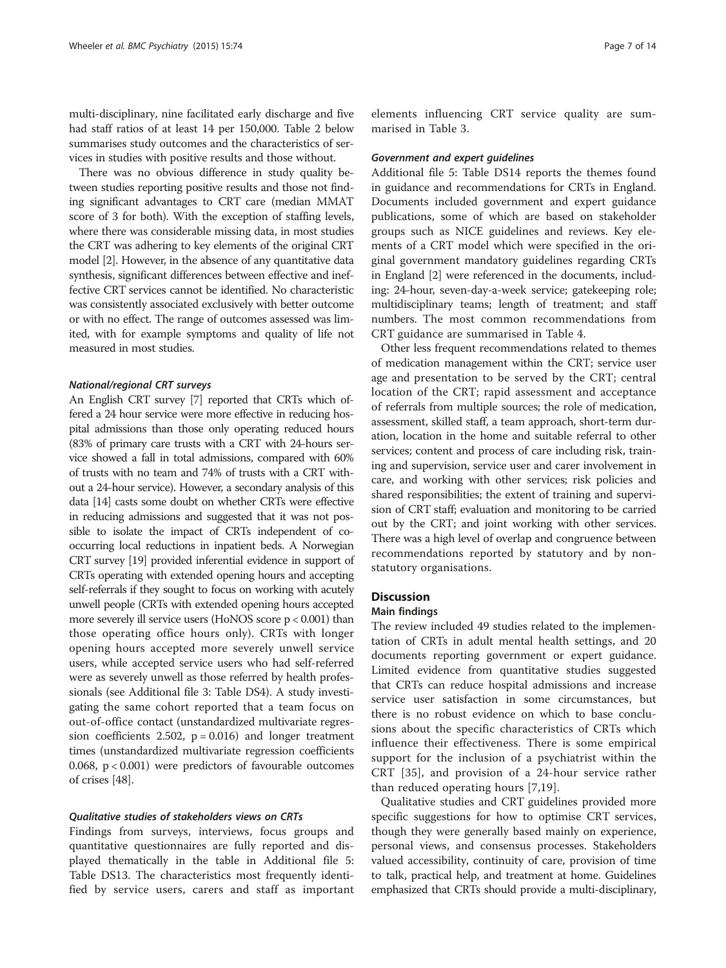multi-disciplinary, nine facilitated early discharge and five had staff ratios of at least 14 per 150,000. Table [2](#page-7-0) below summarises study outcomes and the characteristics of services in studies with positive results and those without.

There was no obvious difference in study quality between studies reporting positive results and those not finding significant advantages to CRT care (median MMAT score of 3 for both). With the exception of staffing levels, where there was considerable missing data, in most studies the CRT was adhering to key elements of the original CRT model [\[2\]](#page-11-0). However, in the absence of any quantitative data synthesis, significant differences between effective and ineffective CRT services cannot be identified. No characteristic was consistently associated exclusively with better outcome or with no effect. The range of outcomes assessed was limited, with for example symptoms and quality of life not measured in most studies.

## National/regional CRT surveys

An English CRT survey [[7](#page-11-0)] reported that CRTs which offered a 24 hour service were more effective in reducing hospital admissions than those only operating reduced hours (83% of primary care trusts with a CRT with 24-hours service showed a fall in total admissions, compared with 60% of trusts with no team and 74% of trusts with a CRT without a 24-hour service). However, a secondary analysis of this data [\[14](#page-11-0)] casts some doubt on whether CRTs were effective in reducing admissions and suggested that it was not possible to isolate the impact of CRTs independent of cooccurring local reductions in inpatient beds. A Norwegian CRT survey [\[19\]](#page-11-0) provided inferential evidence in support of CRTs operating with extended opening hours and accepting self-referrals if they sought to focus on working with acutely unwell people (CRTs with extended opening hours accepted more severely ill service users (HoNOS score p < 0.001) than those operating office hours only). CRTs with longer opening hours accepted more severely unwell service users, while accepted service users who had self-referred were as severely unwell as those referred by health professionals (see Additional file [3](#page-11-0): Table DS4). A study investigating the same cohort reported that a team focus on out-of-office contact (unstandardized multivariate regression coefficients 2.502,  $p = 0.016$ ) and longer treatment times (unstandardized multivariate regression coefficients 0.068,  $p < 0.001$ ) were predictors of favourable outcomes of crises [[48\]](#page-12-0).

#### Qualitative studies of stakeholders views on CRTs

Findings from surveys, interviews, focus groups and quantitative questionnaires are fully reported and displayed thematically in the table in Additional file [5](#page-11-0): Table DS13. The characteristics most frequently identified by service users, carers and staff as important elements influencing CRT service quality are summarised in Table [3.](#page-9-0)

#### Government and expert guidelines

Additional file [5](#page-11-0): Table DS14 reports the themes found in guidance and recommendations for CRTs in England. Documents included government and expert guidance publications, some of which are based on stakeholder groups such as NICE guidelines and reviews. Key elements of a CRT model which were specified in the original government mandatory guidelines regarding CRTs in England [[2\]](#page-11-0) were referenced in the documents, including: 24-hour, seven-day-a-week service; gatekeeping role; multidisciplinary teams; length of treatment; and staff numbers. The most common recommendations from CRT guidance are summarised in Table [4.](#page-9-0)

Other less frequent recommendations related to themes of medication management within the CRT; service user age and presentation to be served by the CRT; central location of the CRT; rapid assessment and acceptance of referrals from multiple sources; the role of medication, assessment, skilled staff, a team approach, short-term duration, location in the home and suitable referral to other services; content and process of care including risk, training and supervision, service user and carer involvement in care, and working with other services; risk policies and shared responsibilities; the extent of training and supervision of CRT staff; evaluation and monitoring to be carried out by the CRT; and joint working with other services. There was a high level of overlap and congruence between recommendations reported by statutory and by nonstatutory organisations.

#### **Discussion**

#### Main findings

The review included 49 studies related to the implementation of CRTs in adult mental health settings, and 20 documents reporting government or expert guidance. Limited evidence from quantitative studies suggested that CRTs can reduce hospital admissions and increase service user satisfaction in some circumstances, but there is no robust evidence on which to base conclusions about the specific characteristics of CRTs which influence their effectiveness. There is some empirical support for the inclusion of a psychiatrist within the CRT [\[35\]](#page-12-0), and provision of a 24-hour service rather than reduced operating hours [\[7](#page-11-0),[19\]](#page-11-0).

Qualitative studies and CRT guidelines provided more specific suggestions for how to optimise CRT services, though they were generally based mainly on experience, personal views, and consensus processes. Stakeholders valued accessibility, continuity of care, provision of time to talk, practical help, and treatment at home. Guidelines emphasized that CRTs should provide a multi-disciplinary,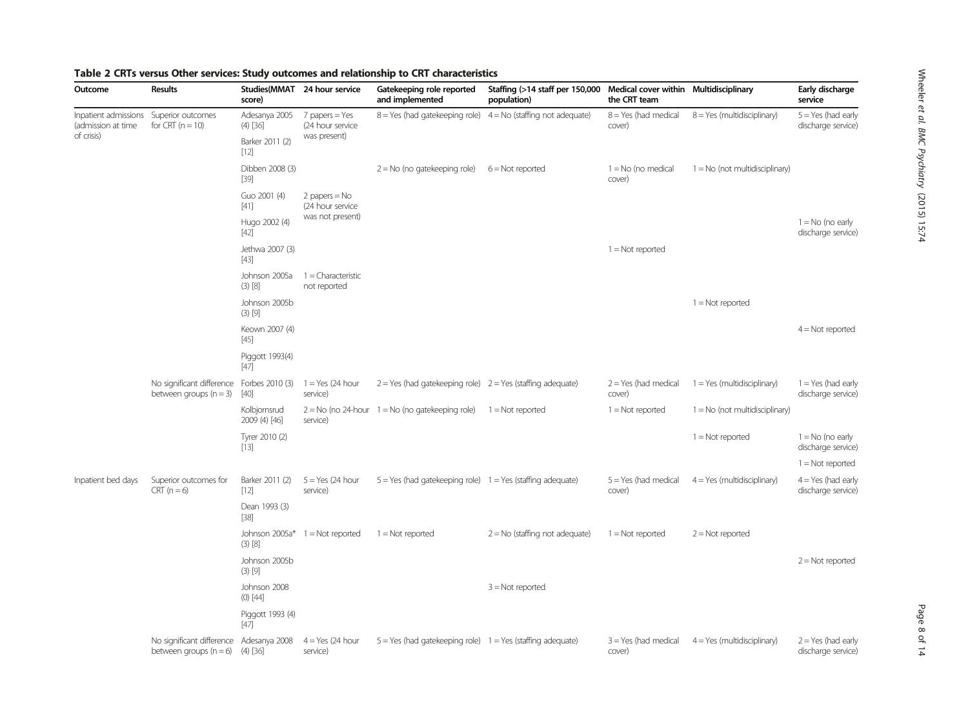# <span id="page-7-0"></span>Table 2 CRTs versus Other services: Study outcomes and relationship to CRT characteristics<br>Characteristics Characteristics<br>Characteristics

| Outcome                                                  | Results                                                                                       | score)                        | Studies(MMAT 24 hour service                                                                  | Gatekeeping role reported<br>and implemented                      | Staffing (>14 staff per 150,000 Medical cover within Multidisciplinary<br>population) | the CRT team                     |                                  | Early discharge<br>service                 |
|----------------------------------------------------------|-----------------------------------------------------------------------------------------------|-------------------------------|-----------------------------------------------------------------------------------------------|-------------------------------------------------------------------|---------------------------------------------------------------------------------------|----------------------------------|----------------------------------|--------------------------------------------|
| Inpatient admissions<br>(admission at time<br>of crisis) | Superior outcomes<br>for CRT $(n = 10)$                                                       | Adesanya 2005<br>$(4)$ [36]   | $7$ papers = Yes<br>(24 hour service<br>was present)                                          | $8 = Yes$ (had gatekeeping role) $4 = No$ (staffing not adequate) |                                                                                       | $8 = Yes$ (had medical<br>cover) | 8 = Yes (multidisciplinary)      | $5 = Yes$ (had early<br>discharge service) |
|                                                          |                                                                                               | Barker 2011 (2)<br>$[12]$     |                                                                                               |                                                                   |                                                                                       |                                  |                                  |                                            |
|                                                          |                                                                                               | Dibben 2008 (3)<br>$[39]$     |                                                                                               | $2 = No$ (no gate keeping role)                                   | $6 = Not$ reported                                                                    | $1 = No$ (no medical<br>cover)   | $1 = No$ (not multidisciplinary) |                                            |
|                                                          |                                                                                               | Guo 2001 (4)<br>$[41]$        | 2 papers $=$ No<br>(24 hour service<br>was not present)<br>1 = Characteristic<br>not reported |                                                                   |                                                                                       |                                  |                                  |                                            |
|                                                          |                                                                                               | Hugo 2002 (4)<br>$[42]$       |                                                                                               |                                                                   |                                                                                       |                                  |                                  | $1 = No$ (no early<br>discharge service)   |
|                                                          |                                                                                               | Jethwa 2007 (3)<br>$[43]$     |                                                                                               |                                                                   |                                                                                       | $1 = Not$ reported               |                                  |                                            |
|                                                          |                                                                                               | Johnson 2005a<br>(3) [8]      |                                                                                               |                                                                   |                                                                                       |                                  |                                  |                                            |
|                                                          |                                                                                               | Johnson 2005b<br>(3) [9]      |                                                                                               |                                                                   |                                                                                       |                                  | $1 = Not$ reported               |                                            |
|                                                          |                                                                                               | Keown 2007 (4)<br>$[45]$      |                                                                                               |                                                                   |                                                                                       |                                  |                                  | $4 = Not$ reported                         |
|                                                          |                                                                                               | Piggott 1993(4)<br>$[47]$     |                                                                                               |                                                                   |                                                                                       |                                  |                                  |                                            |
|                                                          | No significant difference Forbes 2010 (3)<br>between groups $(n = 3)$                         | $[40]$                        | 1 = Yes (24 hour<br>service)                                                                  | $2 = Yes$ (had gatekeeping role) $2 = Yes$ (staffing adequate)    |                                                                                       | $2 = Yes$ (had medical<br>cover) | 1 = Yes (multidisciplinary)      | $1 = Yes$ (had early<br>discharge service) |
|                                                          |                                                                                               | Kolbjornsrud<br>2009 (4) [46] | service)                                                                                      | $2 = No$ (no 24-hour $1 = No$ (no gatekeeping role)               | $1 = Not$ reported                                                                    | $1 = Not$ reported               | $1 = No$ (not multidisciplinary) |                                            |
|                                                          |                                                                                               | Tyrer 2010 (2)<br>$[13]$      |                                                                                               |                                                                   |                                                                                       |                                  | $1 = Not$ reported               | $1 = No$ (no early<br>discharge service)   |
|                                                          |                                                                                               |                               |                                                                                               |                                                                   |                                                                                       |                                  |                                  | $1 = Not$ reported                         |
| Inpatient bed days                                       | Superior outcomes for<br>$CRT (n = 6)$                                                        | Barker 2011 (2)<br>$[12]$     | $5 = Yes$ (24 hour<br>service)                                                                | $5 = Yes$ (had gatekeeping role) $1 = Yes$ (staffing adequate)    |                                                                                       | $5 = Yes$ (had medical<br>cover) | $4 = Yes$ (multidisciplinary)    | $4 = Yes$ (had early<br>discharge service) |
|                                                          |                                                                                               | Dean 1993 (3)<br>$[38]$       |                                                                                               |                                                                   |                                                                                       |                                  |                                  |                                            |
|                                                          |                                                                                               | (3) [8]                       | Johnson 2005a* 1 = Not reported                                                               | $1 = Not$ reported                                                | $2 = No$ (staffing not adequate)                                                      | $1 = Not$ reported               | $2 = Not$ reported               |                                            |
|                                                          |                                                                                               | Johnson 2005b<br>(3) [9]      |                                                                                               |                                                                   |                                                                                       |                                  |                                  | $2 = Not$ reported                         |
|                                                          |                                                                                               | Johnson 2008<br>$(0)$ [44]    |                                                                                               |                                                                   | $3 = Not$ reported                                                                    |                                  |                                  |                                            |
|                                                          |                                                                                               | Piggott 1993 (4)<br>$[47]$    |                                                                                               |                                                                   |                                                                                       |                                  |                                  |                                            |
|                                                          | No significant difference Adesanya 2008 4 = Yes (24 hour<br>between groups $(n = 6)$ (4) [36] |                               | service)                                                                                      | $5 = Yes$ (had gatekeeping role) $1 = Yes$ (staffing adequate)    |                                                                                       | $3 = Yes$ (had medical<br>cover) | $4 = Yes$ (multidisciplinary)    | $2 = Yes$ (had early<br>discharge service) |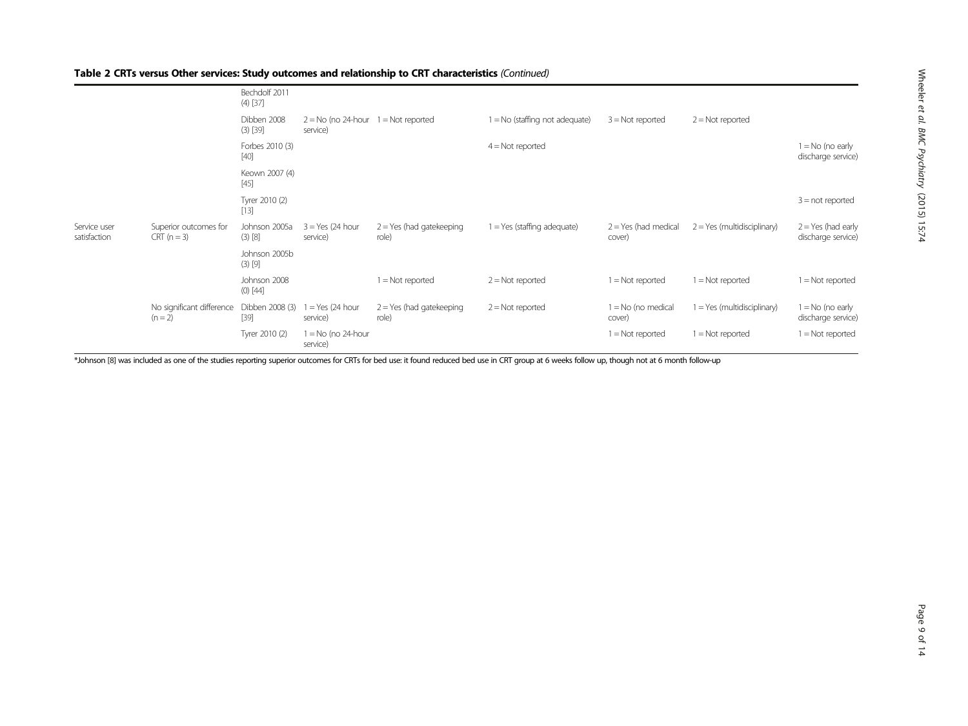# Table 2 CRTs versus Other services: Study outcomes and relationship to CRT characteristics (Continued)

|                              |                                        | Bechdolf 2011<br>$(4)$ [37] |                                                     |                                     |                                  |                                  |                               |                                            |
|------------------------------|----------------------------------------|-----------------------------|-----------------------------------------------------|-------------------------------------|----------------------------------|----------------------------------|-------------------------------|--------------------------------------------|
|                              |                                        | Dibben 2008<br>$(3)$ [39]   | $2 = No$ (no 24-hour $1 = Not$ reported<br>service) |                                     | $1 = No$ (staffing not adequate) | $3 = Not$ reported               | $2 = Not$ reported            |                                            |
|                              |                                        | Forbes 2010 (3)<br>$[40]$   |                                                     |                                     | $4 = Not$ reported               |                                  |                               | $1 = No$ (no early<br>discharge service)   |
|                              |                                        | Keown 2007 (4)<br>$[45]$    |                                                     |                                     |                                  |                                  |                               |                                            |
|                              |                                        | Tyrer 2010 (2)<br>$[13]$    |                                                     |                                     |                                  |                                  |                               | $3 = not reported$                         |
| Service user<br>satisfaction | Superior outcomes for<br>$CRT (n = 3)$ | Johnson 2005a<br>(3) [8]    | $3 = Yes$ (24 hour<br>service)                      | $2 = Yes$ (had gatekeeping<br>role) | $1 = Yes$ (staffing adequate)    | $2 = Yes$ (had medical<br>cover) | $2 = Yes$ (multidisciplinary) | $2 = Yes$ (had early<br>discharge service) |
|                              |                                        | Johnson 2005b<br>(3) [9]    |                                                     |                                     |                                  |                                  |                               |                                            |
|                              |                                        | Johnson 2008<br>$(0)$ [44]  |                                                     | $1 = Not$ reported                  | $2 = Not$ reported               | $1 = Not$ reported               | $1 = Not reported$            | $1 = Not$ reported                         |
|                              | No significant difference<br>$(n = 2)$ | Dibben 2008 (3)<br>$[39]$   | $1 = Yes$ (24 hour<br>service)                      | $2 = Yes$ (had gatekeeping<br>role) | $2 = Not$ reported               | $1 = No$ (no medical<br>cover)   | $1 = Yes$ (multidisciplinary) | $1 = No$ (no early<br>discharge service)   |
|                              |                                        | Tyrer 2010 (2)              | $1 = No$ (no 24-hour<br>service)                    |                                     |                                  | $1 = Not$ reported               | $1 = Not reported$            | $1 = Not$ reported                         |

\*Johnson [\[8](#page-11-0)] was included as one of the studies reporting superior outcomes for CRTs for bed use: it found reduced bed use in CRT group at 6 weeks follow up, though not at 6 month follow-up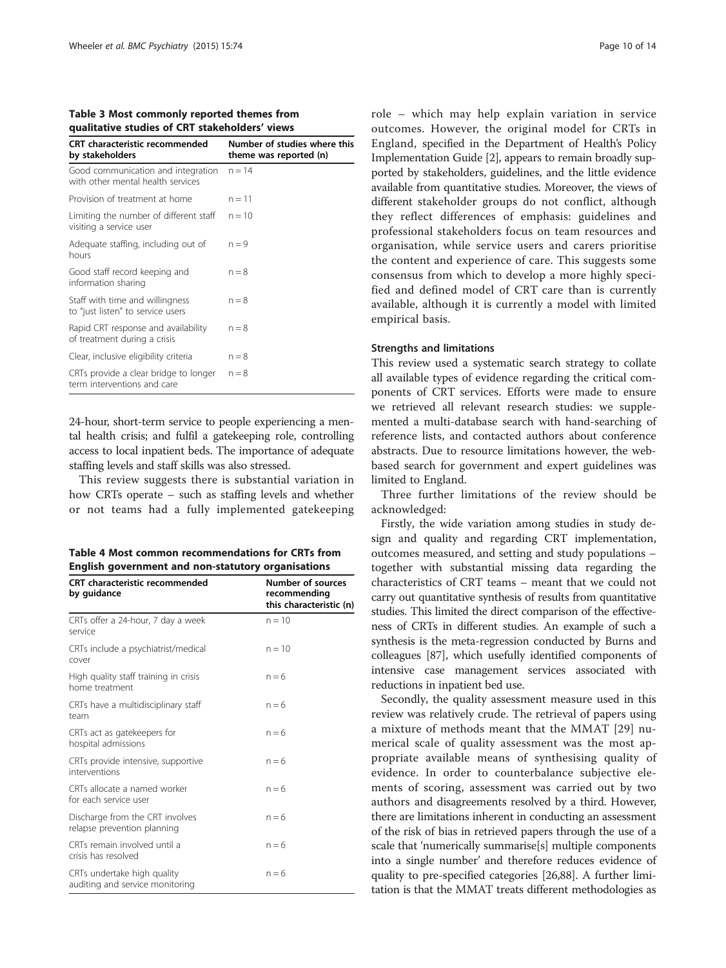<span id="page-9-0"></span>Table 3 Most commonly reported themes from qualitative studies of CRT stakeholders' views

| <b>CRT</b> characteristic recommended<br>by stakeholders                | Number of studies where this<br>theme was reported (n) |
|-------------------------------------------------------------------------|--------------------------------------------------------|
| Good communication and integration<br>with other mental health services | $n = 14$                                               |
| Provision of treatment at home                                          | $n = 11$                                               |
| Limiting the number of different staff<br>visiting a service user       | $n = 10$                                               |
| Adequate staffing, including out of<br>hours                            | $n = 9$                                                |
| Good staff record keeping and<br>information sharing                    | $n = 8$                                                |
| Staff with time and willingness<br>to "just listen" to service users    | $n = 8$                                                |
| Rapid CRT response and availability<br>of treatment during a crisis     | $n = 8$                                                |
| Clear, inclusive eligibility criteria                                   | $n = 8$                                                |
| CRTs provide a clear bridge to longer<br>term interventions and care    | $n = 8$                                                |

24-hour, short-term service to people experiencing a mental health crisis; and fulfil a gatekeeping role, controlling access to local inpatient beds. The importance of adequate staffing levels and staff skills was also stressed.

This review suggests there is substantial variation in how CRTs operate – such as staffing levels and whether or not teams had a fully implemented gatekeeping

Table 4 Most common recommendations for CRTs from English government and non-statutory organisations

| <b>CRT</b> characteristic recommended<br>by guidance           | <b>Number of sources</b><br>recommending<br>this characteristic (n) |
|----------------------------------------------------------------|---------------------------------------------------------------------|
| CRTs offer a 24-hour, 7 day a week<br>service                  | $n = 10$                                                            |
| CRTs include a psychiatrist/medical<br>cover                   | $n = 10$                                                            |
| High quality staff training in crisis<br>home treatment        | $n = 6$                                                             |
| CRTs have a multidisciplinary staff<br>team                    | $n = 6$                                                             |
| CRTs act as gatekeepers for<br>hospital admissions             | $n = 6$                                                             |
| CRTs provide intensive, supportive<br>interventions            | $n = 6$                                                             |
| CRTs allocate a named worker<br>for each service user          | $n = 6$                                                             |
| Discharge from the CRT involves<br>relapse prevention planning | $n = 6$                                                             |
| CRTs remain involved until a<br>crisis has resolved            | $n = 6$                                                             |
| CRTs undertake high quality<br>auditing and service monitoring | $n = 6$                                                             |

role – which may help explain variation in service outcomes. However, the original model for CRTs in England, specified in the Department of Health's Policy Implementation Guide [\[2](#page-11-0)], appears to remain broadly supported by stakeholders, guidelines, and the little evidence available from quantitative studies. Moreover, the views of different stakeholder groups do not conflict, although they reflect differences of emphasis: guidelines and professional stakeholders focus on team resources and organisation, while service users and carers prioritise the content and experience of care. This suggests some consensus from which to develop a more highly specified and defined model of CRT care than is currently available, although it is currently a model with limited empirical basis.

### Strengths and limitations

This review used a systematic search strategy to collate all available types of evidence regarding the critical components of CRT services. Efforts were made to ensure we retrieved all relevant research studies: we supplemented a multi-database search with hand-searching of reference lists, and contacted authors about conference abstracts. Due to resource limitations however, the webbased search for government and expert guidelines was limited to England.

Three further limitations of the review should be acknowledged:

Firstly, the wide variation among studies in study design and quality and regarding CRT implementation, outcomes measured, and setting and study populations – together with substantial missing data regarding the characteristics of CRT teams – meant that we could not carry out quantitative synthesis of results from quantitative studies. This limited the direct comparison of the effectiveness of CRTs in different studies. An example of such a synthesis is the meta-regression conducted by Burns and colleagues [[87](#page-13-0)], which usefully identified components of intensive case management services associated with reductions in inpatient bed use.

Secondly, the quality assessment measure used in this review was relatively crude. The retrieval of papers using a mixture of methods meant that the MMAT [[29](#page-12-0)] numerical scale of quality assessment was the most appropriate available means of synthesising quality of evidence. In order to counterbalance subjective elements of scoring, assessment was carried out by two authors and disagreements resolved by a third. However, there are limitations inherent in conducting an assessment of the risk of bias in retrieved papers through the use of a scale that 'numerically summarise[s] multiple components into a single number' and therefore reduces evidence of quality to pre-specified categories [[26](#page-12-0)[,88](#page-13-0)]. A further limitation is that the MMAT treats different methodologies as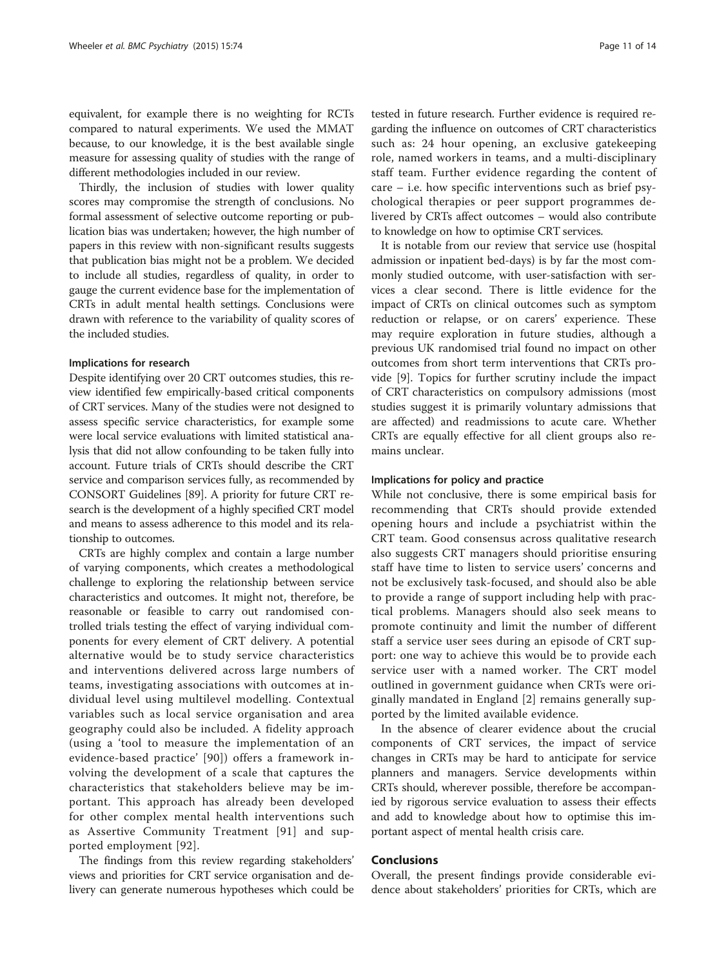equivalent, for example there is no weighting for RCTs compared to natural experiments. We used the MMAT because, to our knowledge, it is the best available single measure for assessing quality of studies with the range of different methodologies included in our review.

Thirdly, the inclusion of studies with lower quality scores may compromise the strength of conclusions. No formal assessment of selective outcome reporting or publication bias was undertaken; however, the high number of papers in this review with non-significant results suggests that publication bias might not be a problem. We decided to include all studies, regardless of quality, in order to gauge the current evidence base for the implementation of CRTs in adult mental health settings. Conclusions were drawn with reference to the variability of quality scores of the included studies.

#### Implications for research

Despite identifying over 20 CRT outcomes studies, this review identified few empirically-based critical components of CRT services. Many of the studies were not designed to assess specific service characteristics, for example some were local service evaluations with limited statistical analysis that did not allow confounding to be taken fully into account. Future trials of CRTs should describe the CRT service and comparison services fully, as recommended by CONSORT Guidelines [[89](#page-13-0)]. A priority for future CRT research is the development of a highly specified CRT model and means to assess adherence to this model and its relationship to outcomes.

CRTs are highly complex and contain a large number of varying components, which creates a methodological challenge to exploring the relationship between service characteristics and outcomes. It might not, therefore, be reasonable or feasible to carry out randomised controlled trials testing the effect of varying individual components for every element of CRT delivery. A potential alternative would be to study service characteristics and interventions delivered across large numbers of teams, investigating associations with outcomes at individual level using multilevel modelling. Contextual variables such as local service organisation and area geography could also be included. A fidelity approach (using a 'tool to measure the implementation of an evidence-based practice' [[90](#page-13-0)]) offers a framework involving the development of a scale that captures the characteristics that stakeholders believe may be important. This approach has already been developed for other complex mental health interventions such as Assertive Community Treatment [[91](#page-13-0)] and supported employment [[92](#page-13-0)].

The findings from this review regarding stakeholders' views and priorities for CRT service organisation and delivery can generate numerous hypotheses which could be

tested in future research. Further evidence is required regarding the influence on outcomes of CRT characteristics such as: 24 hour opening, an exclusive gatekeeping role, named workers in teams, and a multi-disciplinary staff team. Further evidence regarding the content of care – i.e. how specific interventions such as brief psychological therapies or peer support programmes delivered by CRTs affect outcomes – would also contribute to knowledge on how to optimise CRT services.

It is notable from our review that service use (hospital admission or inpatient bed-days) is by far the most commonly studied outcome, with user-satisfaction with services a clear second. There is little evidence for the impact of CRTs on clinical outcomes such as symptom reduction or relapse, or on carers' experience. These may require exploration in future studies, although a previous UK randomised trial found no impact on other outcomes from short term interventions that CRTs provide [[9\]](#page-11-0). Topics for further scrutiny include the impact of CRT characteristics on compulsory admissions (most studies suggest it is primarily voluntary admissions that are affected) and readmissions to acute care. Whether CRTs are equally effective for all client groups also remains unclear.

#### Implications for policy and practice

While not conclusive, there is some empirical basis for recommending that CRTs should provide extended opening hours and include a psychiatrist within the CRT team. Good consensus across qualitative research also suggests CRT managers should prioritise ensuring staff have time to listen to service users' concerns and not be exclusively task-focused, and should also be able to provide a range of support including help with practical problems. Managers should also seek means to promote continuity and limit the number of different staff a service user sees during an episode of CRT support: one way to achieve this would be to provide each service user with a named worker. The CRT model outlined in government guidance when CRTs were originally mandated in England [[2\]](#page-11-0) remains generally supported by the limited available evidence.

In the absence of clearer evidence about the crucial components of CRT services, the impact of service changes in CRTs may be hard to anticipate for service planners and managers. Service developments within CRTs should, wherever possible, therefore be accompanied by rigorous service evaluation to assess their effects and add to knowledge about how to optimise this important aspect of mental health crisis care.

#### Conclusions

Overall, the present findings provide considerable evidence about stakeholders' priorities for CRTs, which are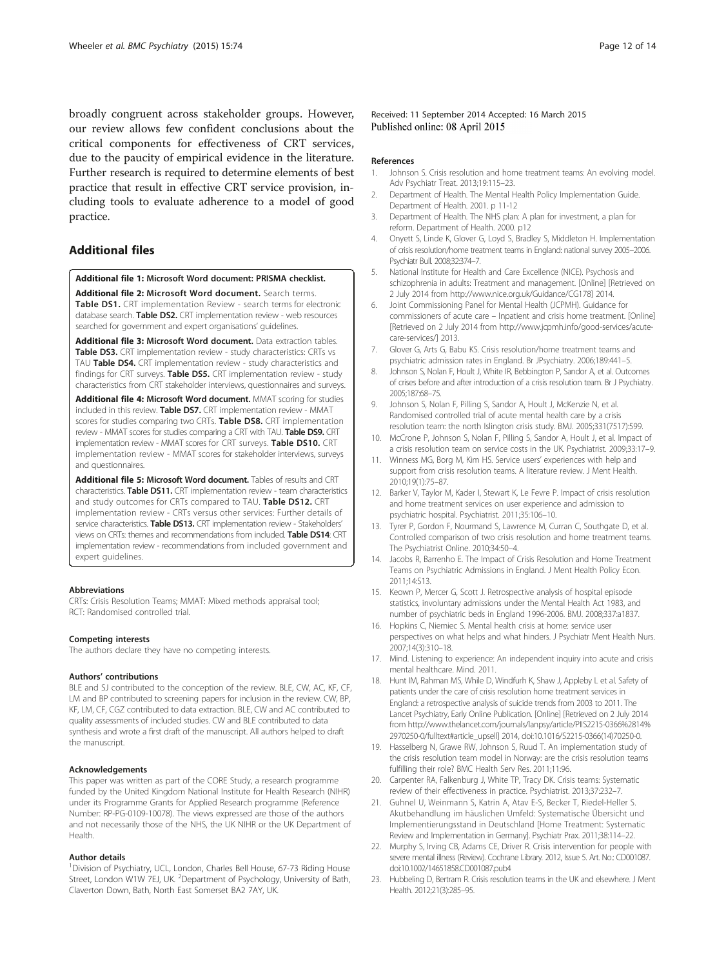<span id="page-11-0"></span>broadly congruent across stakeholder groups. However, our review allows few confident conclusions about the critical components for effectiveness of CRT services, due to the paucity of empirical evidence in the literature. Further research is required to determine elements of best practice that result in effective CRT service provision, including tools to evaluate adherence to a model of good practice.

# Additional files

[Additional file 1:](http://www.biomedcentral.com/content/supplementary/s12888-015-0441-x-s1.doc) Microsoft Word document: PRISMA checklist.

[Additional file 2:](http://www.biomedcentral.com/content/supplementary/s12888-015-0441-x-s2.docx) Microsoft Word document. Search terms. Table DS1. CRT implementation Review - search terms for electronic database search. Table DS2. CRT implementation review - web resources searched for government and expert organisations' guidelines.

[Additional file 3:](http://www.biomedcentral.com/content/supplementary/s12888-015-0441-x-s3.docx) Microsoft Word document. Data extraction tables. Table DS3. CRT implementation review - study characteristics: CRTs vs TAU Table DS4. CRT implementation review - study characteristics and findings for CRT surveys. Table DS5. CRT implementation review - study characteristics from CRT stakeholder interviews, questionnaires and surveys.

[Additional file 4:](http://www.biomedcentral.com/content/supplementary/s12888-015-0441-x-s4.docx) Microsoft Word document. MMAT scoring for studies included in this review. Table DS7. CRT implementation review - MMAT scores for studies comparing two CRTs. Table DS8. CRT implementation review - MMAT scores for studies comparing a CRT with TAU. Table DS9. CRT implementation review - MMAT scores for CRT surveys. Table DS10. CRT implementation review - MMAT scores for stakeholder interviews, surveys and questionnaires.

[Additional file 5:](http://www.biomedcentral.com/content/supplementary/s12888-015-0441-x-s5.docx) Microsoft Word document. Tables of results and CRT characteristics. Table DS11. CRT implementation review - team characteristics and study outcomes for CRTs compared to TAU. Table DS12. CRT implementation review - CRTs versus other services: Further details of service characteristics. Table DS13. CRT implementation review - Stakeholders' views on CRTs: themes and recommendations from included. Table DS14: CRT implementation review - recommendations from included government and expert guidelines.

#### Abbreviations

CRTs: Crisis Resolution Teams; MMAT: Mixed methods appraisal tool; RCT: Randomised controlled trial.

#### Competing interests

The authors declare they have no competing interests.

#### Authors' contributions

BLE and SJ contributed to the conception of the review. BLE, CW, AC, KF, CF, LM and BP contributed to screening papers for inclusion in the review. CW, BP, KF, LM, CF, CGZ contributed to data extraction. BLE, CW and AC contributed to quality assessments of included studies. CW and BLE contributed to data synthesis and wrote a first draft of the manuscript. All authors helped to draft the manuscript.

#### Acknowledgements

This paper was written as part of the CORE Study, a research programme funded by the United Kingdom National Institute for Health Research (NIHR) under its Programme Grants for Applied Research programme (Reference Number: RP-PG-0109-10078). The views expressed are those of the authors and not necessarily those of the NHS, the UK NIHR or the UK Department of Health.

#### Author details

<sup>1</sup>Division of Psychiatry, UCL, London, Charles Bell House, 67-73 Riding House Street, London W1W 7EJ, UK. <sup>2</sup>Department of Psychology, University of Bath, Claverton Down, Bath, North East Somerset BA2 7AY, UK.

Received: 11 September 2014 Accepted: 16 March 2015 Published online: 08 April 2015

#### References

- 1. Johnson S. Crisis resolution and home treatment teams: An evolving model. Adv Psychiatr Treat. 2013;19:115–23.
- 2. Department of Health. The Mental Health Policy Implementation Guide. Department of Health. 2001. p 11-12
- 3. Department of Health. The NHS plan: A plan for investment, a plan for reform. Department of Health. 2000. p12
- 4. Onyett S, Linde K, Glover G, Loyd S, Bradley S, Middleton H. Implementation of crisis resolution/home treatment teams in England: national survey 2005–2006. Psychiatr Bull. 2008;32:374–7.
- 5. National Institute for Health and Care Excellence (NICE). Psychosis and schizophrenia in adults: Treatment and management. [Online] [Retrieved on 2 July 2014 from<http://www.nice.org.uk/Guidance/CG178>] 2014.
- 6. Joint Commissioning Panel for Mental Health (JCPMH). Guidance for commissioners of acute care – Inpatient and crisis home treatment. [Online] [Retrieved on 2 July 2014 from [http://www.jcpmh.info/good-services/acute](http://www.jcpmh.info/good-services/acute-care-services/)[care-services/\]](http://www.jcpmh.info/good-services/acute-care-services/) 2013.
- 7. Glover G, Arts G, Babu KS. Crisis resolution/home treatment teams and psychiatric admission rates in England. Br JPsychiatry. 2006;189:441–5.
- 8. Johnson S, Nolan F, Hoult J, White IR, Bebbington P, Sandor A, et al. Outcomes of crises before and after introduction of a crisis resolution team. Br J Psychiatry. 2005;187:68–75.
- 9. Johnson S, Nolan F, Pilling S, Sandor A, Hoult J, McKenzie N, et al. Randomised controlled trial of acute mental health care by a crisis resolution team: the north Islington crisis study. BMJ. 2005;331(7517):599.
- 10. McCrone P, Johnson S, Nolan F, Pilling S, Sandor A, Hoult J, et al. Impact of a crisis resolution team on service costs in the UK. Psychiatrist. 2009;33:17–9.
- 11. Winness MG, Borg M, Kim HS. Service users' experiences with help and support from crisis resolution teams. A literature review. J Ment Health. 2010;19(1):75–87.
- 12. Barker V, Taylor M, Kader I, Stewart K, Le Fevre P. Impact of crisis resolution and home treatment services on user experience and admission to psychiatric hospital. Psychiatrist. 2011;35:106–10.
- 13. Tyrer P, Gordon F, Nourmand S, Lawrence M, Curran C, Southgate D, et al. Controlled comparison of two crisis resolution and home treatment teams. The Psychiatrist Online. 2010;34:50–4.
- 14. Jacobs R, Barrenho E. The Impact of Crisis Resolution and Home Treatment Teams on Psychiatric Admissions in England. J Ment Health Policy Econ. 2011;14:S13.
- 15. Keown P, Mercer G, Scott J. Retrospective analysis of hospital episode statistics, involuntary admissions under the Mental Health Act 1983, and number of psychiatric beds in England 1996-2006. BMJ. 2008;337:a1837.
- 16. Hopkins C, Niemiec S. Mental health crisis at home: service user perspectives on what helps and what hinders. J Psychiatr Ment Health Nurs. 2007;14(3):310–18.
- 17. Mind. Listening to experience: An independent inquiry into acute and crisis mental healthcare. Mind. 2011.
- 18. Hunt IM, Rahman MS, While D, Windfurh K, Shaw J, Appleby L et al. Safety of patients under the care of crisis resolution home treatment services in England: a retrospective analysis of suicide trends from 2003 to 2011. The Lancet Psychiatry, Early Online Publication. [Online] [Retrieved on 2 July 2014 from [http://www.thelancet.com/journals/lanpsy/article/PIIS2215-0366%2814%](http://www.thelancet.com/journals/lanpsy/article/PIIS2215-0366%2814%2970250-0/fulltext#article_upsell) [2970250-0/fulltext#article\\_upsell](http://www.thelancet.com/journals/lanpsy/article/PIIS2215-0366%2814%2970250-0/fulltext#article_upsell)] 2014, doi[:10.1016/S2215-0366\(14\)70250-0](http://dx.doi.org/10.1016/S2215-0366(14)70250-0).
- 19. Hasselberg N, Grawe RW, Johnson S, Ruud T. An implementation study of the crisis resolution team model in Norway: are the crisis resolution teams fulfilling their role? BMC Health Serv Res. 2011;11:96.
- 20. Carpenter RA, Falkenburg J, White TP, Tracy DK. Crisis teams: Systematic review of their effectiveness in practice. Psychiatrist. 2013;37:232–7.
- 21. Guhnel U, Weinmann S, Katrin A, Atav E-S, Becker T, Riedel-Heller S. Akutbehandlung im häuslichen Umfeld: Systematische Übersicht und Implementierungsstand in Deutschland [Home Treatment: Systematic Review and Implementation in Germany]. Psychiatr Prax. 2011;38:114–22.
- 22. Murphy S, Irving CB, Adams CE, Driver R. Crisis intervention for people with severe mental illness (Review). Cochrane Library. 2012, Issue 5. Art. No.: CD001087. doi:10.1002/14651858.CD001087.pub4
- 23. Hubbeling D, Bertram R. Crisis resolution teams in the UK and elsewhere. J Ment Health. 2012;21(3):285–95.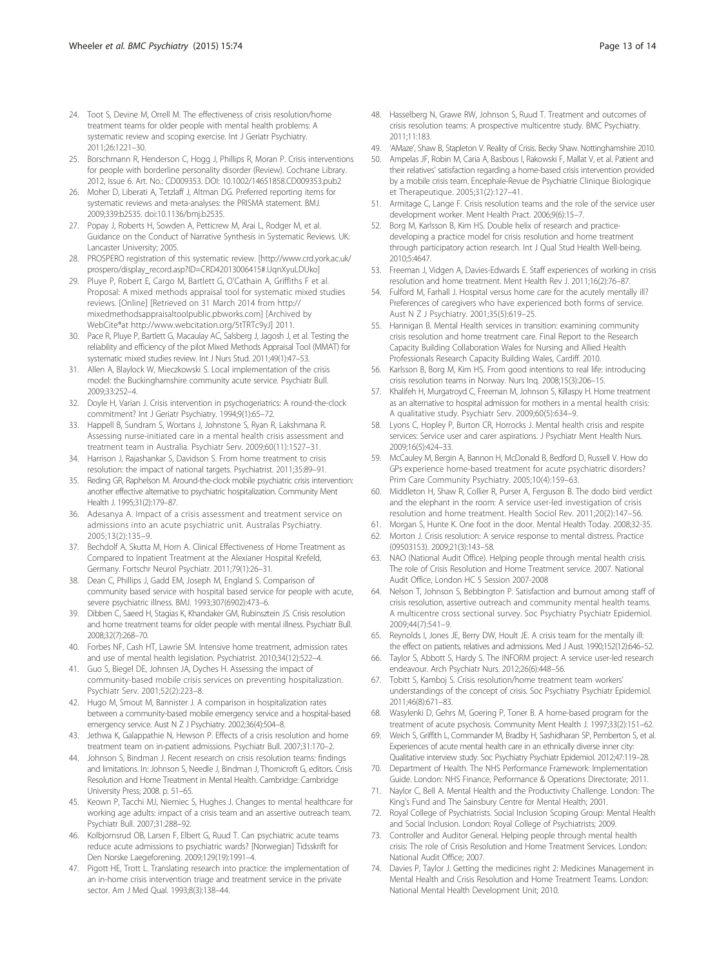- <span id="page-12-0"></span>24. Toot S, Devine M, Orrell M. The effectiveness of crisis resolution/home treatment teams for older people with mental health problems: A systematic review and scoping exercise. Int J Geriatr Psychiatry. 2011;26:1221–30.
- 25. Borschmann R, Henderson C, Hogg J, Phillips R, Moran P. Crisis interventions for people with borderline personality disorder (Review). Cochrane Library. 2012, Issue 6. Art. No.: CD009353. DOI: 10.1002/14651858.CD009353.pub2
- 26. Moher D, Liberati A, Tetzlaff J, Altman DG. Preferred reporting items for systematic reviews and meta-analyses: the PRISMA statement. BMJ. 2009;339:b2535. doi:10.1136/bmj.b2535.
- 27. Popay J, Roberts H, Sowden A, Petticrew M, Arai L, Rodger M, et al. Guidance on the Conduct of Narrative Synthesis in Systematic Reviews. UK: Lancaster University; 2005.
- 28. PROSPERO registration of this systematic review. [[http://www.crd.york.ac.uk/](http://www.crd.york.ac.uk/prospero/display_record.asp?ID=CRD42013006415#.UqnXyuLDUko) [prospero/display\\_record.asp?ID=CRD42013006415#.UqnXyuLDUko\]](http://www.crd.york.ac.uk/prospero/display_record.asp?ID=CRD42013006415#.UqnXyuLDUko)
- 29. Pluye P, Robert E, Cargo M, Bartlett G, O'Cathain A, Griffiths F et al. Proposal: A mixed methods appraisal tool for systematic mixed studies reviews. [Online] [Retrieved on 31 March 2014 from [http://](http://mixedmethodsappraisaltoolpublic.pbworks.com/) [mixedmethodsappraisaltoolpublic.pbworks.com](http://mixedmethodsappraisaltoolpublic.pbworks.com/)] [Archived by WebCite®at<http://www.webcitation.org/5tTRTc9yJ>] 2011.
- 30. Pace R, Pluye P, Bartlett G, Macaulay AC, Salsberg J, Jagosh J, et al. Testing the reliability and efficiency of the pilot Mixed Methods Appraisal Tool (MMAT) for systematic mixed studies review. Int J Nurs Stud. 2011;49(1):47–53.
- 31. Allen A, Blaylock W, Mieczkowski S. Local implementation of the crisis model: the Buckinghamshire community acute service. Psychiatr Bull. 2009;33:252–4.
- 32. Doyle H, Varian J. Crisis intervention in psychogeriatrics: A round-the-clock commitment? Int J Geriatr Psychiatry. 1994;9(1):65–72.
- 33. Happell B, Sundram S, Wortans J, Johnstone S, Ryan R, Lakshmana R. Assessing nurse-initiated care in a mental health crisis assessment and treatment team in Australia. Psychiatr Serv. 2009;60(11):1527–31.
- 34. Harrison J, Rajashankar S, Davidson S. From home treatment to crisis resolution: the impact of national targets. Psychiatrist. 2011;35:89–91.
- 35. Reding GR, Raphelson M. Around-the-clock mobile psychiatric crisis intervention: another effective alternative to psychiatric hospitalization. Community Ment Health J. 1995;31(2):179–87.
- 36. Adesanya A. Impact of a crisis assessment and treatment service on admissions into an acute psychiatric unit. Australas Psychiatry. 2005;13(2):135–9.
- 37. Bechdolf A, Skutta M, Horn A. Clinical Effectiveness of Home Treatment as Compared to Inpatient Treatment at the Alexianer Hospital Krefeld, Germany. Fortschr Neurol Psychiatr. 2011;79(1):26–31.
- 38. Dean C, Phillips J, Gadd EM, Joseph M, England S. Comparison of community based service with hospital based service for people with acute, severe psychiatric illness. BMJ. 1993;307(6902):473–6.
- 39. Dibben C, Saeed H, Stagias K, Khandaker GM, Rubinsztein JS. Crisis resolution and home treatment teams for older people with mental illness. Psychiatr Bull. 2008;32(7):268–70.
- 40. Forbes NF, Cash HT, Lawrie SM. Intensive home treatment, admission rates and use of mental health legislation. Psychiatrist. 2010;34(12):522–4.
- 41. Guo S, Biegel DE, Johnsen JA, Dyches H. Assessing the impact of community-based mobile crisis services on preventing hospitalization. Psychiatr Serv. 2001;52(2):223–8.
- 42. Hugo M, Smout M, Bannister J. A comparison in hospitalization rates between a community-based mobile emergency service and a hospital-based emergency service. Aust N Z J Psychiatry. 2002;36(4):504–8.
- 43. Jethwa K, Galappathie N, Hewson P. Effects of a crisis resolution and home treatment team on in-patient admissions. Psychiatr Bull. 2007;31:170–2.
- 44. Johnson S, Bindman J. Recent research on crisis resolution teams: findings and limitations. In: Johnson S, Needle J, Bindman J, Thornicroft G, editors. Crisis Resolution and Home Treatment in Mental Health. Cambridge: Cambridge University Press; 2008. p. 51–65.
- 45. Keown P, Tacchi MJ, Niemiec S, Hughes J. Changes to mental healthcare for working age adults: impact of a crisis team and an assertive outreach team. Psychiatr Bull. 2007;31:288–92.
- 46. Kolbjornsrud OB, Larsen F, Elbert G, Ruud T. Can psychiatric acute teams reduce acute admissions to psychiatric wards? [Norwegian] Tidsskrift for Den Norske Laegeforening. 2009;129(19):1991–4.
- 47. Pigott HE, Trott L. Translating research into practice: the implementation of an in-home crisis intervention triage and treatment service in the private sector. Am J Med Qual. 1993;8(3):138–44.
- 48. Hasselberg N, Grawe RW, Johnson S, Ruud T. Treatment and outcomes of crisis resolution teams: A prospective multicentre study. BMC Psychiatry. 2011;11:183.
- 49. 'AMaze', Shaw B, Stapleton V. Reality of Crisis. Becky Shaw. Nottinghamshire 2010.
- 50. Ampelas JF, Robin M, Caria A, Basbous I, Rakowski F, Mallat V, et al. Patient and their relatives' satisfaction regarding a home-based crisis intervention provided by a mobile crisis team. Encephale-Revue de Psychiatrie Clinique Biologique et Therapeutique. 2005;31(2):127–41.
- 51. Armitage C, Lange F. Crisis resolution teams and the role of the service user development worker. Ment Health Pract. 2006;9(6):15–7.
- 52. Borg M, Karlsson B, Kim HS. Double helix of research and practicedeveloping a practice model for crisis resolution and home treatment through participatory action research. Int J Qual Stud Health Well-being. 2010;5:4647.
- 53. Freeman J, Vidgen A, Davies-Edwards E. Staff experiences of working in crisis resolution and home treatment. Ment Health Rev J. 2011;16(2):76–87.
- 54. Fulford M, Farhall J. Hospital versus home care for the acutely mentally ill? Preferences of caregivers who have experienced both forms of service. Aust N Z J Psychiatry. 2001;35(5):619–25.
- 55. Hannigan B. Mental Health services in transition: examining community crisis resolution and home treatment care. Final Report to the Research Capacity Building Collaboration Wales for Nursing and Allied Health Professionals Research Capacity Building Wales, Cardiff. 2010.
- 56. Karlsson B, Borg M, Kim HS. From good intentions to real life: introducing crisis resolution teams in Norway. Nurs Inq. 2008;15(3):206–15.
- 57. Khalifeh H, Murgatroyd C, Freeman M, Johnson S, Killaspy H. Home treatment as an alternative to hospital admission for mothers in a mental health crisis: A qualitative study. Psychiatr Serv. 2009;60(5):634–9.
- 58. Lyons C, Hopley P, Burton CR, Horrocks J. Mental health crisis and respite services: Service user and carer aspirations. J Psychiatr Ment Health Nurs. 2009;16(5):424–33.
- 59. McCauley M, Bergin A, Bannon H, McDonald B, Bedford D, Russell V. How do GPs experience home-based treatment for acute psychiatric disorders? Prim Care Community Psychiatry. 2005;10(4):159–63.
- 60. Middleton H, Shaw R, Collier R, Purser A, Ferguson B. The dodo bird verdict and the elephant in the room: A service user-led investigation of crisis resolution and home treatment. Health Sociol Rev. 2011;20(2):147–56.
- 61. Morgan S, Hunte K. One foot in the door. Mental Health Today. 2008;32-35.
- 62. Morton J. Crisis resolution: A service response to mental distress. Practice (09503153). 2009;21(3):143–58.
- 63. NAO (National Audit Office). Helping people through mental health crisis. The role of Crisis Resolution and Home Treatment service. 2007. National Audit Office, London HC 5 Session 2007-2008
- 64. Nelson T, Johnson S, Bebbington P. Satisfaction and burnout among staff of crisis resolution, assertive outreach and community mental health teams. A multicentre cross sectional survey. Soc Psychiatry Psychiatr Epidemiol. 2009;44(7):541–9.
- 65. Reynolds I, Jones JE, Berry DW, Hoult JE. A crisis team for the mentally ill: the effect on patients, relatives and admissions. Med J Aust. 1990;152(12):646–52.
- 66. Taylor S, Abbott S, Hardy S. The INFORM project: A service user-led research endeavour. Arch Psychiatr Nurs. 2012;26(6):448–56.
- 67. Tobitt S, Kamboj S. Crisis resolution/home treatment team workers' understandings of the concept of crisis. Soc Psychiatry Psychiatr Epidemiol. 2011;46(8):671–83.
- 68. Wasylenki D, Gehrs M, Goering P, Toner B. A home-based program for the treatment of acute psychosis. Community Ment Health J. 1997;33(2):151–62.
- 69. Weich S, Griffith L, Commander M, Bradby H, Sashidharan SP, Pemberton S, et al. Experiences of acute mental health care in an ethnically diverse inner city: Qualitative interview study. Soc Psychiatry Psychiatr Epidemiol. 2012;47:119–28.
- 70. Department of Health. The NHS Performance Framework: Implementation Guide. London: NHS Finance, Performance & Operations Directorate; 2011.
- 71. Naylor C, Bell A. Mental Health and the Productivity Challenge. London: The King's Fund and The Sainsbury Centre for Mental Health; 2001.
- 72. Royal College of Psychiatrists. Social Inclusion Scoping Group: Mental Health and Social Inclusion. London: Royal College of Psychiatrists; 2009.
- 73. Controller and Auditor General. Helping people through mental health crisis: The role of Crisis Resolution and Home Treatment Services. London: National Audit Office; 2007.
- 74. Davies P, Taylor J. Getting the medicines right 2: Medicines Management in Mental Health and Crisis Resolution and Home Treatment Teams. London: National Mental Health Development Unit; 2010.